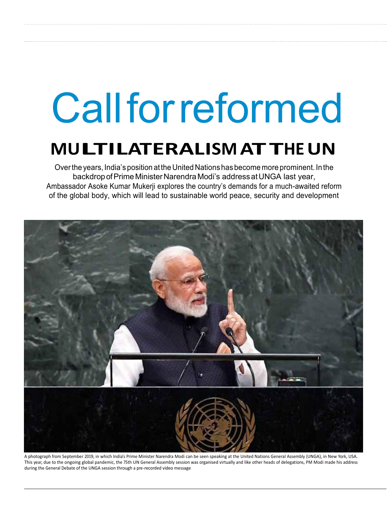# Call for reformed

## **MULTILATERALISM ATTHEUN**

Over the years, India's position at the United Nations has become more prominent. In the backdrop of Prime Minister Narendra Modi's address at UNGA last year, Ambassador Asoke Kumar Mukerji explores the country's demands for a much-awaited reform of the global body, which will lead to sustainable world peace, security and development



A photograph from September 2019, in which India's Prime Minister Narendra Modi can be seen speaking at the United Nations General Assembly (UNGA), in New York, USA. This year, due to the ongoing global pandemic, the 75th UN General Assembly session was organised virtually and like other heads of delegations, PM Modi made his address during the General Debate of the UNGA session through a pre-recorded video message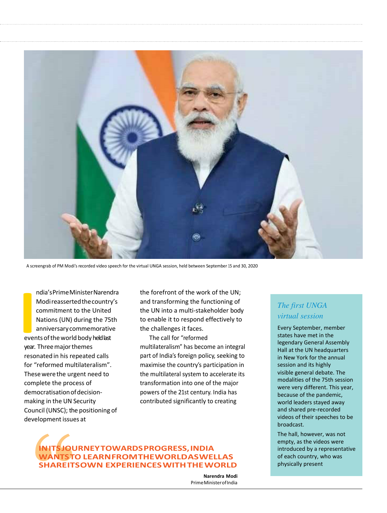

A screengrab of PM Modi's recorded video speech for the virtual UNGA session, held between September 15 and 30, 2020

**I**<br> **I**<br> **I**<br> **I**<br> **I**<br> **I**<br> **I**<br> **I** ndia's Prime Minister Narendra Modi reasserted the country's commitment to the United Nations (UN) during the 75th anniversary commemorative events of the world body held last year. Three major themes resonated in his repeated calls for "reformed multilateralism". These were the urgent need to complete the process of democratisation of decisionmaking in the UN Security Council (UNSC); the positioning of development issues at

the forefront of the work of the UN; and transforming the functioning of the UN into a multi-stakeholder body to enable it to respond effectively to the challenges it faces.

The call for "reformed multilateralism" has become an integral part of India's foreign policy, seeking to maximise the country's participation in the multilateral system to accelerate its transformation into one of the major powers of the 21st century. India has contributed significantly to creating

### **IN ITS JOURNEY TOWARDS PROGRESS, INDIA WANTS TO LEARN FROM THE WORLD AS WELL AS SHARE ITS OWN EXPERIENCES WITH THE WORLD**

**Narendra Modi**  Prime Minister of India

#### *The first UNGA virtual session*

Every September, member states have met in the legendary General Assembly Hall at the UN headquarters in New York for the annual session and its highly visible general debate. The modalities of the 75th session were very different. This year, because of the pandemic, world leaders stayed away and shared pre-recorded videos of their speeches to be broadcast.

The hall, however, was not empty, as the videos were introduced by a representative of each country, who was physically present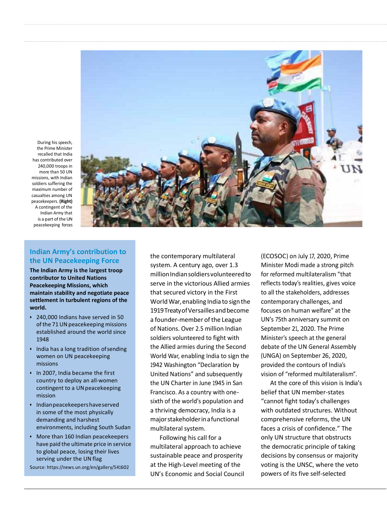

During his speech, the Prime Minister recalled that India has contributed over 240,000 troops in more than 50 UN missions, with Indian soldiers suffering the maximum number of casualties among UN peacekeepers. **(Right)**  A contingent of the Indian Army that is a part of the UN peacekeeping forces

#### **Indian Army's contribution to the UN Peacekeeping Force**

**The Indian Army is the largest troop contributor to United Nations Peacekeeping Missions, which maintain stability and negotiate peace settlement in turbulent regions of the world.** 

- 240,000 Indians have served in 50 of the 71 UN peacekeeping missions established around the world since 1948
- India has a long tradition of sending women on UN peacekeeping missions
- In 2007, India became the first country to deploy an all-women contingent to a UN peacekeeping mission
- Indian peacekeepers have served in some of the most physically demanding and harshest environments, including South Sudan
- More than 160 Indian peacekeepers have paid the ultimate price in service to global peace, losing their lives serving under the UN flag

Source: https://news.un.org/en/gallery/541602

the contemporary multilateral system. A century ago, over 1.3 millionIndian soldiers volunteered to serve in the victorious Allied armies that secured victory in the First World War, enabling India to sign the 1919 Treaty of Versailles and become a founder-member of the League of Nations. Over 2.5 million Indian soldiers volunteered to fight with the Allied armies during the Second World War, enabling India to sign the 1942 Washington "Declaration by United Nations" and subsequently the UN Charter in June 1945 in San Francisco. As a country with onesixth of the world's population and a thriving democracy, India is a major stakeholder in a functional multilateral system.

Following his call for a multilateral approach to achieve sustainable peace and prosperity at the High-Level meeting of the UN's Economic and Social Council (ECOSOC) on July 17, 2020, Prime Minister Modi made a strong pitch for reformed multilateralism "that reflects today's realities, gives voice to all the stakeholders, addresses contemporary challenges, and focuses on human welfare" at the UN's 75th anniversary summit on September 21, 2020. The Prime Minister's speech at the general debate of the UN General Assembly (UNGA) on September 26, 2020, provided the contours of India's vision of "reformed multilateralism".

At the core of this vision is India's belief that UN member-states "cannot fight today's challenges with outdated structures. Without comprehensive reforms, the UN faces a crisis of confidence." The only UN structure that obstructs the democratic principle of taking decisions by consensus or majority voting is the UNSC, where the veto powers of its five self-selected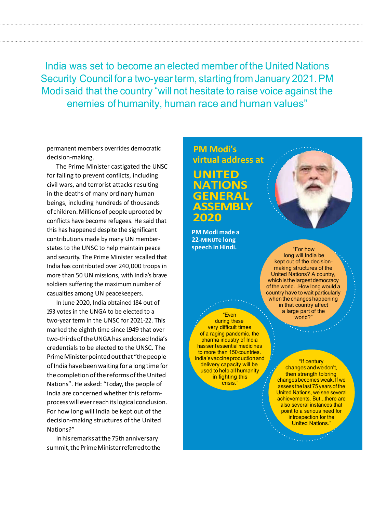India was set to become an elected member of the United Nations Security Council for a two-year term, starting from January 2021. PM Modi said that the country "will not hesitate to raise voice against the enemies of humanity, human race and human values"

permanent members overrides democratic decision-making.

The Prime Minister castigated the UNSC for failing to prevent conflicts, including civil wars, and terrorist attacks resulting in the deaths of many ordinary human beings, including hundreds of thousands of children. Millions of people uprooted by conflicts have become refugees. He said that this has happened despite the significant contributions made by many UN memberstates to the UNSC to help maintain peace and security. The Prime Minister recalled that India has contributed over 240,000 troops in more than 50 UN missions, with India's brave soldiers suffering the maximum number of casualties among UN peacekeepers.

In June 2020, India obtained 184 out of 193 votes in the UNGA to be elected to a two-year term in the UNSC for 2021-22. This marked the eighth time since 1949 that over two-thirds of the UNGA has endorsed India's credentials to be elected to the UNSC. The Prime Minister pointed out that "the people of India have been waiting for a long time for the completion of the reforms of the United Nations". He asked: "Today, the people of India are concerned whether this reformprocess will ever reach its logical conclusion. For how long will India be kept out of the decision-making structures of the United Nations?"

Inhis remarks at the 75th anniversary summit, the Prime Minister referred to the **PM Modi's virtual address at UNITED NATIONS GENERAL ASSEMBLY 2020**

**PM Modi made a 22-MINUTe long speech in Hindi.**

"Even during these very difficult times of a raging pandemic, the pharma industry of India has sent essential medicines to more than 150 countries. India's vaccine production and delivery capacity will be used to help all humanity in fighting this crisis.



"For how long will India be kept out of the decisionmaking structures of the United Nations? A country, which is the largest democracy of the world...How long would a country have to wait particularly when the changes happening in that country affect a large part of the world?"

> "If century changes andwedon't, then strength to bring changes becomes weak. If we assess the last 75 years of the United Nations, we see several achievements. But...there are also several instances that point to a serious need for introspection for the **United Nations.'**

> > **Contractor**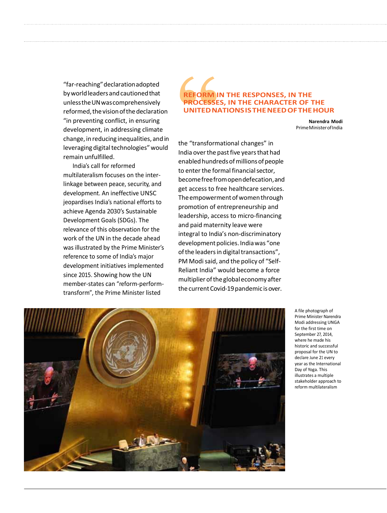"far-reaching" declaration adopted by world leaders and cautioned that unless the UN was comprehensively reformed, the vision of the declaration "in preventing conflict, in ensuring development, in addressing climate change, in reducing inequalities, and in leveraging digital technologies" would remain unfulfilled.

India's call for reformed multilateralism focuses on the interlinkage between peace, security, and development. An ineffective UNSC jeopardises India's national efforts to achieve Agenda 2030's Sustainable Development Goals (SDGs). The relevance of this observation for the work of the UN in the decade ahead was illustrated by the Prime Minister's reference to some of India's major development initiatives implemented since 2015. Showing how the UN member-states can "reform-performtransform", the Prime Minister listed

#### **REFORM IN THE RESPONSES, IN THE PROCESSES, IN THE CHARACTER OF THE UNITED NATIONS IS THE NEED OF THE HOUR**

**Narendra Modi** Prime Minister of India

the "transformational changes" in India over the past five years that had enabled hundreds of millions of people to enter the formal financial sector, become free from open defecation, and get access to free healthcare services. The empowerment of women through promotion of entrepreneurship and leadership, access to micro-financing and paid maternity leave were integral to India's non-discriminatory development policies. India was "one of the leaders in digital transactions", PM Modi said, and the policy of "Self-Reliant India" would become a force multiplier of the global economy after the current Covid-19 pandemic is over.



A file photograph of Prime Minister Narendra Modi addressing UNGA for the first time on September 27, 2014, where he made his historic and successful proposal for the UN to declare June 21 every year as the International Day of Yoga. This illustrates a multiple stakeholder approach to reform multilateralism